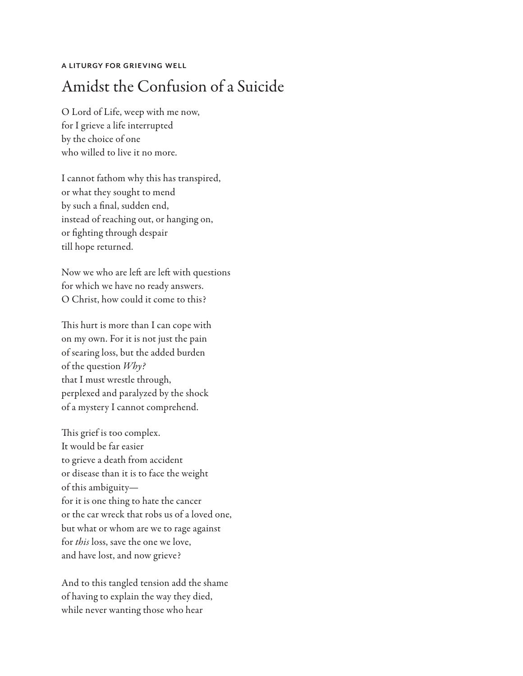## **A LITURGY FOR GRIEVING WELL**

## Amidst the Confusion of a Suicide

O Lord of Life, weep with me now, for I grieve a life interrupted by the choice of one who willed to live it no more.

I cannot fathom why this has transpired, or what they sought to mend by such a final, sudden end, instead of reaching out, or hanging on, or fighting through despair till hope returned.

Now we who are left are left with questions for which we have no ready answers. O Christ, how could it come to this?

This hurt is more than I can cope with on my own. For it is not just the pain of searing loss, but the added burden of the question *Why?*  that I must wrestle through, perplexed and paralyzed by the shock of a mystery I cannot comprehend.

This grief is too complex. It would be far easier to grieve a death from accident or disease than it is to face the weight of this ambiguity for it is one thing to hate the cancer or the car wreck that robs us of a loved one, but what or whom are we to rage against for *this* loss, save the one we love, and have lost, and now grieve?

And to this tangled tension add the shame of having to explain the way they died, while never wanting those who hear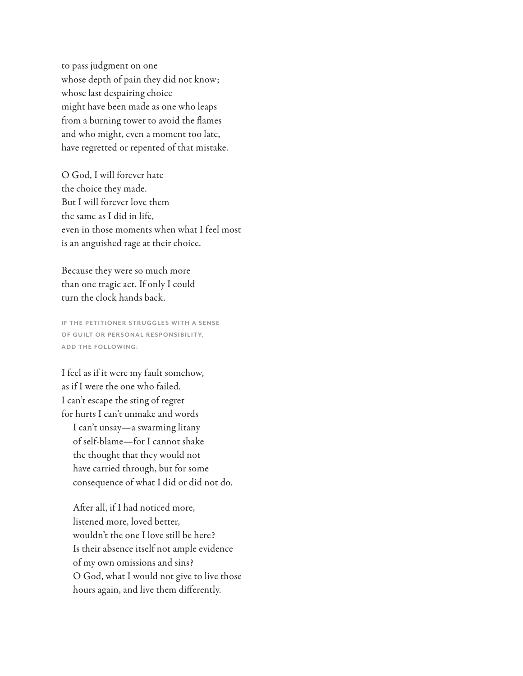to pass judgment on one whose depth of pain they did not know; whose last despairing choice might have been made as one who leaps from a burning tower to avoid the flames and who might, even a moment too late, have regretted or repented of that mistake.

O God, I will forever hate the choice they made. But I will forever love them the same as I did in life, even in those moments when what I feel most is an anguished rage at their choice.

Because they were so much more than one tragic act. If only I could turn the clock hands back.

**IF THE PETITIONER STRUGGLES WITH A SENSE OF GUILT OR PERSONAL RESPONSIBILITY, ADD THE FOLLOWING:**

I feel as if it were my fault somehow, as if I were the one who failed. I can't escape the sting of regret for hurts I can't unmake and words I can't unsay—a swarming litany of self-blame—for I cannot shake the thought that they would not have carried through, but for some consequence of what I did or did not do.

After all, if I had noticed more, listened more, loved better, wouldn't the one I love still be here? Is their absence itself not ample evidence of my own omissions and sins? O God, what I would not give to live those hours again, and live them differently.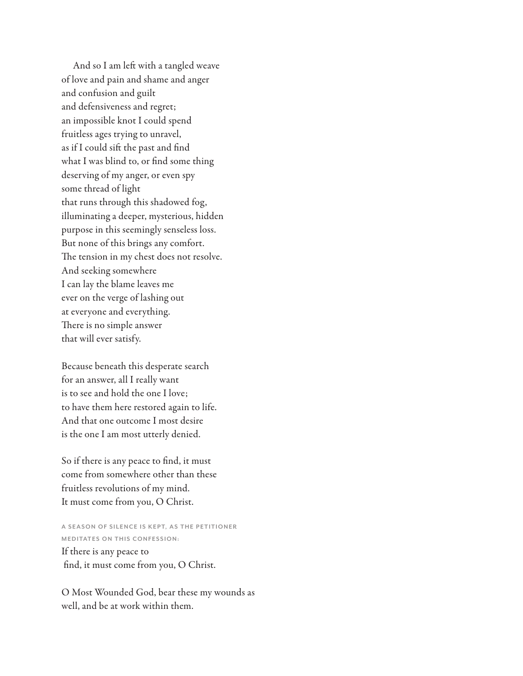And so I am left with a tangled weave of love and pain and shame and anger and confusion and guilt and defensiveness and regret; an impossible knot I could spend fruitless ages trying to unravel, as if I could sift the past and find what I was blind to, or find some thing deserving of my anger, or even spy some thread of light that runs through this shadowed fog, illuminating a deeper, mysterious, hidden purpose in this seemingly senseless loss. But none of this brings any comfort. The tension in my chest does not resolve. And seeking somewhere I can lay the blame leaves me ever on the verge of lashing out at everyone and everything. There is no simple answer that will ever satisfy.

Because beneath this desperate search for an answer, all I really want is to see and hold the one I love; to have them here restored again to life. And that one outcome I most desire is the one I am most utterly denied.

So if there is any peace to find, it must come from somewhere other than these fruitless revolutions of my mind. It must come from you, O Christ.

A SEASON OF SILENCE IS KEPT, AS THE PETITIONER **MEDITATES ON THIS CONFESSION:** 

If there is any peace to find, it must come from you, O Christ.

O Most Wounded God, bear these my wounds as well, and be at work within them.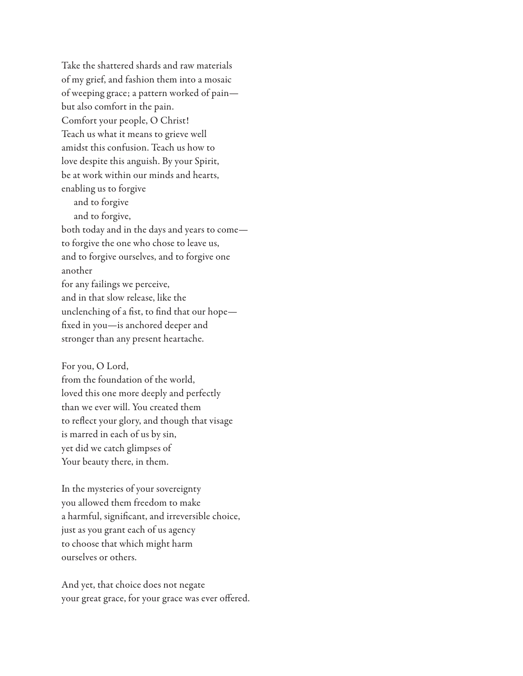Take the shattered shards and raw materials of my grief, and fashion them into a mosaic of weeping grace; a pattern worked of pain but also comfort in the pain. Comfort your people, O Christ! Teach us what it means to grieve well amidst this confusion. Teach us how to love despite this anguish. By your Spirit, be at work within our minds and hearts, enabling us to forgive and to forgive and to forgive, both today and in the days and years to come to forgive the one who chose to leave us, and to forgive ourselves, and to forgive one another for any failings we perceive, and in that slow release, like the unclenching of a fist, to find that our hope fixed in you—is anchored deeper and stronger than any present heartache.

For you, O Lord, from the foundation of the world, loved this one more deeply and perfectly than we ever will. You created them to reflect your glory, and though that visage is marred in each of us by sin, yet did we catch glimpses of Your beauty there, in them.

In the mysteries of your sovereignty you allowed them freedom to make a harmful, significant, and irreversible choice, just as you grant each of us agency to choose that which might harm ourselves or others.

And yet, that choice does not negate your great grace, for your grace was ever offered.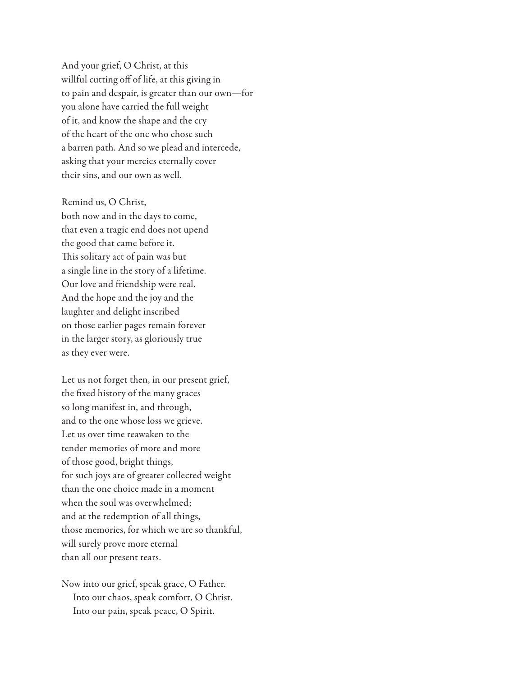And your grief, O Christ, at this willful cutting off of life, at this giving in to pain and despair, is greater than our own—for you alone have carried the full weight of it, and know the shape and the cry of the heart of the one who chose such a barren path. And so we plead and intercede, asking that your mercies eternally cover their sins, and our own as well.

Remind us, O Christ, both now and in the days to come, that even a tragic end does not upend the good that came before it. This solitary act of pain was but a single line in the story of a lifetime. Our love and friendship were real. And the hope and the joy and the laughter and delight inscribed on those earlier pages remain forever in the larger story, as gloriously true as they ever were.

Let us not forget then, in our present grief, the fixed history of the many graces so long manifest in, and through, and to the one whose loss we grieve. Let us over time reawaken to the tender memories of more and more of those good, bright things, for such joys are of greater collected weight than the one choice made in a moment when the soul was overwhelmed; and at the redemption of all things, those memories, for which we are so thankful, will surely prove more eternal than all our present tears.

Now into our grief, speak grace, O Father. Into our chaos, speak comfort, O Christ. Into our pain, speak peace, O Spirit.